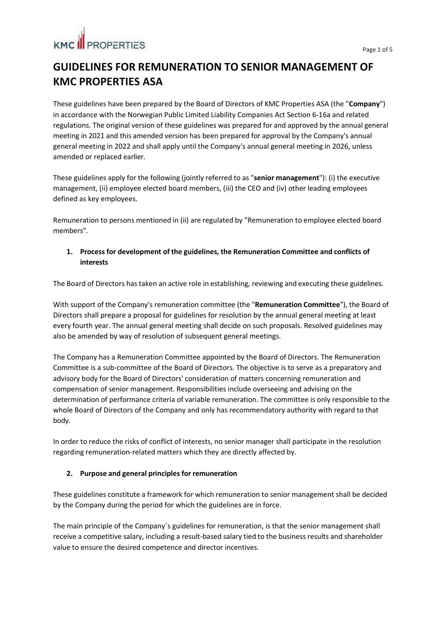## **GUIDELINES FOR REMUNERATION TO SENIOR MANAGEMENT OF KMC PROPERTIES ASA**

These guidelines have been prepared by the Board of Directors of KMC Properties ASA (the "**Company**") in accordance with the Norwegian Public Limited Liability Companies Act Section 6-16a and related regulations. The original version of these guidelines was prepared for and approved by the annual general meeting in 2021 and this amended version has been prepared for approval by the Company's annual general meeting in 2022 and shall apply until the Company's annual general meeting in 2026, unless amended or replaced earlier.

These guidelines apply for the following (jointly referred to as "**senior management**"): (i) the executive management, (ii) employee elected board members, (iii) the CEO and (iv) other leading employees defined as key employees.

Remuneration to persons mentioned in (ii) are regulated by "Remuneration to employee elected board members".

### **1. Process for development of the guidelines, the Remuneration Committee and conflicts of interests**

The Board of Directors has taken an active role in establishing, reviewing and executing these guidelines.

With support of the Company's remuneration committee (the "**Remuneration Committee**"), the Board of Directors shall prepare a proposal for guidelines for resolution by the annual general meeting at least every fourth year. The annual general meeting shall decide on such proposals. Resolved guidelines may also be amended by way of resolution of subsequent general meetings.

The Company has a Remuneration Committee appointed by the Board of Directors. The Remuneration Committee is a sub-committee of the Board of Directors. The objective is to serve as a preparatory and advisory body for the Board of Directors' consideration of matters concerning remuneration and compensation of senior management. Responsibilities include overseeing and advising on the determination of performance criteria of variable remuneration. The committee is only responsible to the whole Board of Directors of the Company and only has recommendatory authority with regard to that body.

In order to reduce the risks of conflict of interests, no senior manager shall participate in the resolution regarding remuneration-related matters which they are directly affected by.

### **2. Purpose and general principles for remuneration**

These guidelines constitute a framework for which remuneration to senior management shall be decided by the Company during the period for which the guidelines are in force.

The main principle of the Company`s guidelines for remuneration, is that the senior management shall receive a competitive salary, including a result-based salary tied to the business results and shareholder value to ensure the desired competence and director incentives.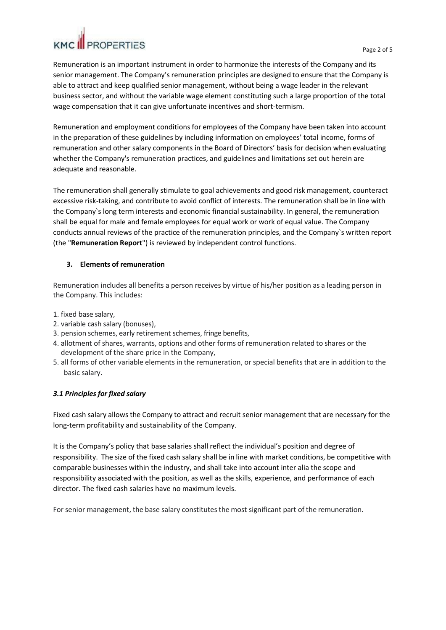Remuneration is an important instrument in order to harmonize the interests of the Company and its senior management. The Company's remuneration principles are designed to ensure that the Company is able to attract and keep qualified senior management, without being a wage leader in the relevant business sector, and without the variable wage element constituting such a large proportion of the total wage compensation that it can give unfortunate incentives and short-termism.

Remuneration and employment conditions for employees of the Company have been taken into account in the preparation of these guidelines by including information on employees' total income, forms of remuneration and other salary components in the Board of Directors' basis for decision when evaluating whether the Company's remuneration practices, and guidelines and limitations set out herein are adequate and reasonable.

The remuneration shall generally stimulate to goal achievements and good risk management, counteract excessive risk-taking, and contribute to avoid conflict of interests. The remuneration shall be in line with the Company`s long term interests and economic financial sustainability. In general, the remuneration shall be equal for male and female employees for equal work or work of equal value. The Company conducts annual reviews of the practice of the remuneration principles, and the Company`s written report (the "**Remuneration Report**") is reviewed by independent control functions.

### **3. Elements of remuneration**

Remuneration includes all benefits a person receives by virtue of his/her position as a leading person in the Company. This includes:

- 1. fixed base salary,
- 2. variable cash salary (bonuses),
- 3. pension schemes, early retirement schemes, fringe benefits,
- 4. allotment of shares, warrants, options and other forms of remuneration related to shares or the development of the share price in the Company,
- 5. all forms of other variable elements in the remuneration, or special benefits that are in addition to the basic salary.

### *3.1 Principlesfor fixed salary*

Fixed cash salary allows the Company to attract and recruit senior management that are necessary for the long-term profitability and sustainability of the Company.

It is the Company's policy that base salaries shall reflect the individual's position and degree of responsibility. The size of the fixed cash salary shall be in line with market conditions, be competitive with comparable businesses within the industry, and shall take into account inter alia the scope and responsibility associated with the position, as well as the skills, experience, and performance of each director. The fixed cash salaries have no maximum levels.

For senior management, the base salary constitutes the most significant part of the remuneration.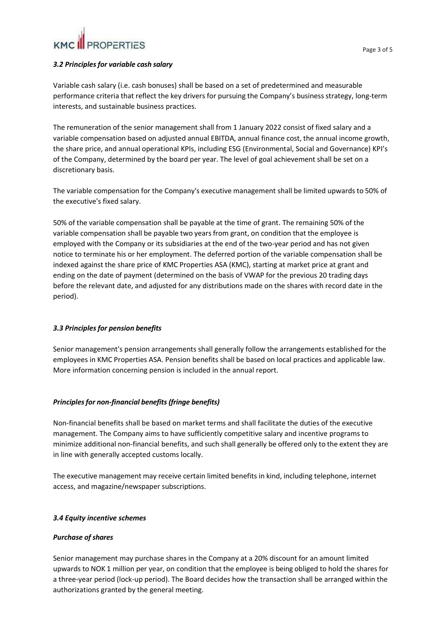### *3.2 Principlesfor variable cash salary*

Variable cash salary (i.e. cash bonuses) shall be based on a set of predetermined and measurable performance criteria that reflect the key drivers for pursuing the Company's business strategy, long-term interests, and sustainable business practices.

The remuneration of the senior management shall from 1 January 2022 consist of fixed salary and a variable compensation based on adjusted annual EBITDA, annual finance cost, the annual income growth, the share price, and annual operational KPIs, including ESG (Environmental, Social and Governance) KPI's of the Company, determined by the board per year. The level of goal achievement shall be set on a discretionary basis.

The variable compensation for the Company's executive management shall be limited upwardsto 50% of the executive's fixed salary.

50% of the variable compensation shall be payable at the time of grant. The remaining 50% of the variable compensation shall be payable two years from grant, on condition that the employee is employed with the Company or its subsidiaries at the end of the two-year period and has not given notice to terminate his or her employment. The deferred portion of the variable compensation shall be indexed against the share price of KMC Properties ASA (KMC), starting at market price at grant and ending on the date of payment (determined on the basis of VWAP for the previous 20 trading days before the relevant date, and adjusted for any distributions made on the shares with record date in the period).

### *3.3 Principlesfor pension benefits*

Senior management's pension arrangements shall generally follow the arrangements established for the employees in KMC Properties ASA. Pension benefits shall be based on local practices and applicable law. More information concerning pension is included in the annual report.

### *Principlesfor non-financial benefits (fringe benefits)*

Non-financial benefits shall be based on market terms and shall facilitate the duties of the executive management. The Company aims to have sufficiently competitive salary and incentive programs to minimize additional non-financial benefits, and such shall generally be offered only to the extent they are in line with generally accepted customs locally.

The executive management may receive certain limited benefits in kind, including telephone, internet access, and magazine/newspaper subscriptions.

### *3.4 Equity incentive schemes*

### **Purchase** of shares

Senior management may purchase shares in the Company at a 20% discount for an amount limited upwards to NOK 1 million per year, on condition that the employee is being obliged to hold the shares for a three-year period (lock-up period). The Board decides how the transaction shall be arranged within the authorizations granted by the general meeting.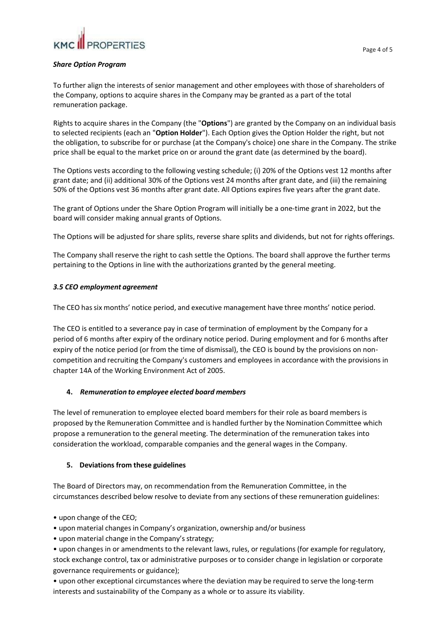#### *Share Option Program*

To further align the interests of senior management and other employees with those of shareholders of the Company, options to acquire shares in the Company may be granted as a part of the total remuneration package.

Rights to acquire shares in the Company (the "**Options**") are granted by the Company on an individual basis to selected recipients (each an "**Option Holder**"). Each Option gives the Option Holder the right, but not the obligation, to subscribe for or purchase (at the Company's choice) one share in the Company. The strike price shall be equal to the market price on or around the grant date (as determined by the board).

The Options vests according to the following vesting schedule; (i) 20% of the Options vest 12 months after grant date; and (ii) additional 30% of the Options vest 24 months after grant date, and (iii) the remaining 50% of the Options vest 36 months after grant date. All Options expires five years after the grant date.

The grant of Options under the Share Option Program will initially be a one-time grant in 2022, but the board will consider making annual grants of Options.

The Options will be adjusted for share splits, reverse share splits and dividends, but not for rights offerings.

The Company shall reserve the right to cash settle the Options. The board shall approve the further terms pertaining to the Options in line with the authorizations granted by the general meeting.

#### *3.5 CEO employment agreement*

The CEO has six months' notice period, and executive management have three months' notice period.

The CEO is entitled to a severance pay in case of termination of employment by the Company for a period of 6 months after expiry of the ordinary notice period. During employment and for 6 months after expiry of the notice period (or from the time of dismissal), the CEO is bound by the provisions on noncompetition and recruiting the Company's customers and employees in accordance with the provisions in chapter 14A of the Working Environment Act of 2005.

### **4.** *Remuneration to employee elected board members*

The level of remuneration to employee elected board members for their role as board members is proposed by the Remuneration Committee and is handled further by the Nomination Committee which propose a remuneration to the general meeting. The determination of the remuneration takes into consideration the workload, comparable companies and the general wages in the Company.

### **5. Deviations from these guidelines**

The Board of Directors may, on recommendation from the Remuneration Committee, in the circumstances described below resolve to deviate from any sections of these remuneration guidelines:

- upon change of the CEO;
- upon material changes in Company's organization, ownership and/or business

• upon material change in the Company's strategy;

• upon changes in or amendments to the relevant laws, rules, or regulations (for example for regulatory, stock exchange control, tax or administrative purposes or to consider change in legislation or corporate governance requirements or guidance);

• upon other exceptional circumstances where the deviation may be required to serve the long-term interests and sustainability of the Company as a whole or to assure its viability.